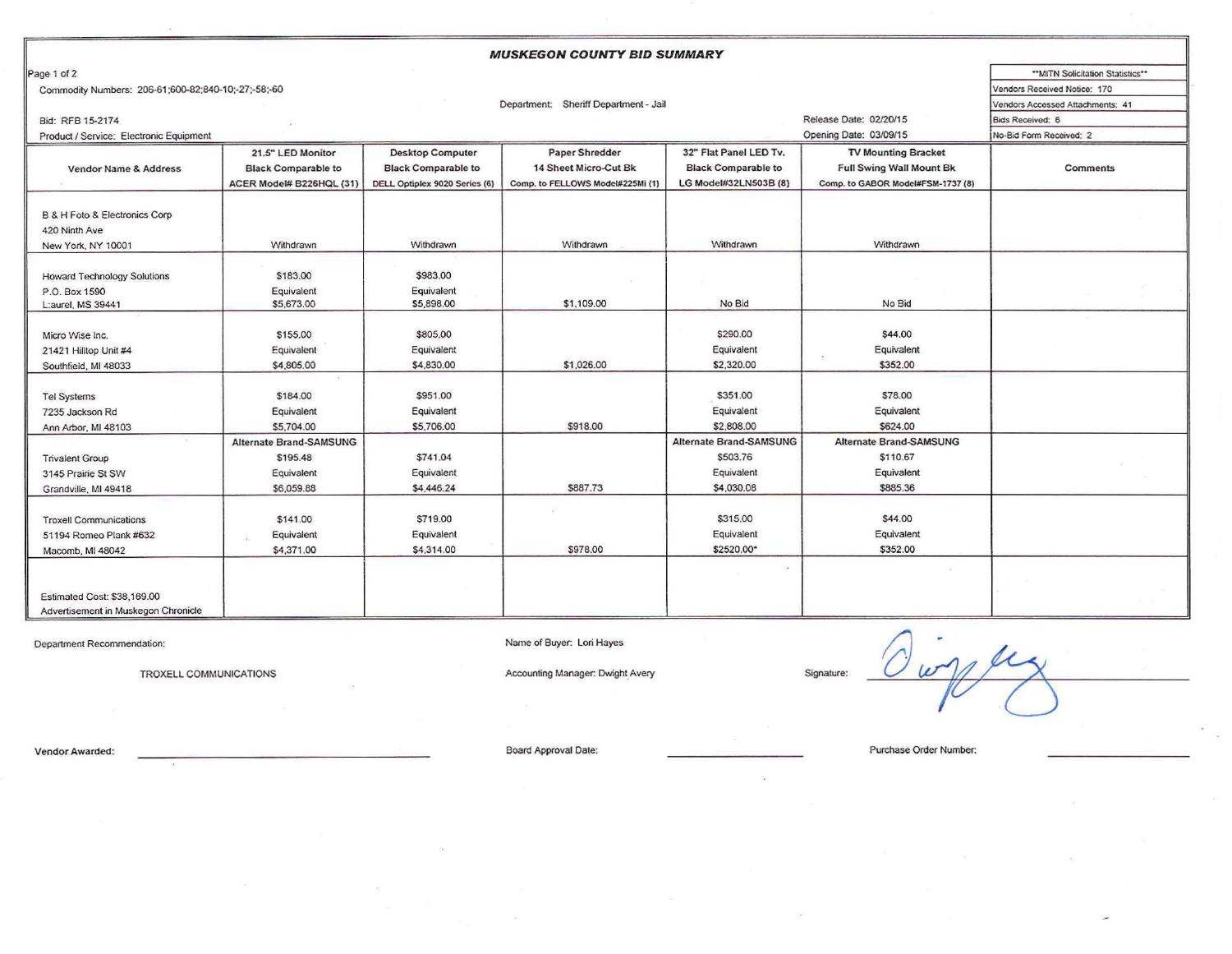| <b>MUSKEGON COUNTY BID SUMMARY</b>                  |                                  |                               |                                  |                                |                                   |                                   |  |  |  |
|-----------------------------------------------------|----------------------------------|-------------------------------|----------------------------------|--------------------------------|-----------------------------------|-----------------------------------|--|--|--|
| Page 1 of 2                                         |                                  |                               |                                  |                                |                                   | ** MITN Solicitation Statistics** |  |  |  |
| Commodity Numbers: 206-61;600-82;840-10;-27;-58;-60 | Vendors Received Notice: 170     |                               |                                  |                                |                                   |                                   |  |  |  |
|                                                     | Vendors Accessed Attachments: 41 |                               |                                  |                                |                                   |                                   |  |  |  |
| Bid: RFB 15-2174                                    |                                  |                               | Bids Received: 6                 |                                |                                   |                                   |  |  |  |
| Product / Service: Electronic Equipment             |                                  |                               |                                  |                                | Opening Date: 03/09/15            | No-Bid Form Received: 2           |  |  |  |
|                                                     | 21.5" LED Monitor                | <b>Desktop Computer</b>       | Paper Shredder                   | 32" Flat Panel LED Tv.         | <b>TV Mounting Bracket</b>        |                                   |  |  |  |
| Vendor Name & Address                               | <b>Black Comparable to</b>       | <b>Black Comparable to</b>    | 14 Sheet Micro-Cut Bk            | <b>Black Comparable to</b>     | <b>Full Swing Wall Mount Bk</b>   | <b>Comments</b>                   |  |  |  |
|                                                     | ACER Model# B226HQL (31)         | DELL Optiplex 9020 Series (6) | Comp. to FELLOWS Model#225Mi (1) | LG Model#32LN503B (8)          | Comp. to GABOR Model#FSM-1737 (8) |                                   |  |  |  |
|                                                     |                                  |                               |                                  |                                |                                   |                                   |  |  |  |
| B & H Foto & Electronics Corp                       |                                  |                               |                                  |                                |                                   |                                   |  |  |  |
| 420 Ninth Ave                                       |                                  |                               |                                  |                                |                                   |                                   |  |  |  |
| New York, NY 10001                                  | Withdrawn                        | Withdrawn                     | Withdrawn                        | Withdrawn                      | Withdrawn                         |                                   |  |  |  |
|                                                     |                                  |                               |                                  |                                |                                   |                                   |  |  |  |
| <b>Howard Technology Solutions</b>                  | \$183.00                         | \$983.00                      |                                  |                                |                                   |                                   |  |  |  |
| P.O. Box 1590                                       | Equivalent                       | Equivalent                    |                                  |                                |                                   |                                   |  |  |  |
| L:aurel, MS 39441                                   | \$5,673.00                       | \$5,898.00                    | \$1,109.00                       | No Bid                         | No Bid                            |                                   |  |  |  |
|                                                     |                                  |                               |                                  |                                |                                   |                                   |  |  |  |
| Micro Wise Inc.                                     | \$155.00                         | \$805.00                      |                                  | \$290.00                       | \$44.00                           |                                   |  |  |  |
| 21421 Hilltop Unit #4                               | Equivalent                       | Equivalent                    |                                  | Equivalent                     | Equivalent                        |                                   |  |  |  |
| Southfield, MI 48033                                | \$4,805.00                       | \$4,830.00                    | \$1,026.00                       | \$2,320.00                     | \$352.00                          |                                   |  |  |  |
|                                                     |                                  |                               |                                  |                                |                                   |                                   |  |  |  |
| <b>Tel Systems</b>                                  | \$184.00                         | \$951.00                      |                                  | \$351.00                       | \$78.00                           |                                   |  |  |  |
| 7235 Jackson Rd                                     | Equivalent                       | Equivalent                    |                                  | Equivalent                     | Equivalent                        |                                   |  |  |  |
| Ann Arbor, MI 48103                                 | \$5,704.00                       | \$5,706.00                    | \$918.00                         | \$2,808.00                     | \$624.00                          |                                   |  |  |  |
|                                                     | <b>Alternate Brand-SAMSUNG</b>   |                               |                                  | <b>Alternate Brand-SAMSUNG</b> | <b>Alternate Brand-SAMSUNG</b>    |                                   |  |  |  |
| <b>Trivalent Group</b>                              | \$195.48                         | \$741.04                      |                                  | \$503.76                       | \$110.67                          |                                   |  |  |  |
| 3145 Prairie St SW                                  | Equivalent                       | Equivalent                    |                                  | Equivalent                     | Equivalent                        |                                   |  |  |  |
| Grandville, MI 49418                                | \$6,059.88                       | \$4,446.24                    | \$887.73                         | \$4,030.08                     | \$885,36                          |                                   |  |  |  |
|                                                     |                                  |                               |                                  |                                |                                   |                                   |  |  |  |
| <b>Troxell Communications</b>                       | \$141.00                         | \$719.00                      |                                  | \$315.00                       | \$44.00                           |                                   |  |  |  |
| 51194 Romeo Plank #632                              | Equivalent                       | Equivalent                    |                                  | Equivalent                     | Equivalent                        |                                   |  |  |  |
| Macomb, MI 48042                                    | \$4,371.00                       | \$4,314.00                    | \$978.00                         | \$2520.00*                     | \$352.00                          |                                   |  |  |  |
|                                                     |                                  |                               |                                  |                                |                                   |                                   |  |  |  |
|                                                     |                                  |                               |                                  |                                |                                   |                                   |  |  |  |
| Estimated Cost: \$38,169.00                         |                                  |                               |                                  |                                |                                   |                                   |  |  |  |
| Advertisement in Muskegon Chronicle                 |                                  |                               |                                  |                                |                                   |                                   |  |  |  |

Department Recommendation:<br>TROXELL COMMUNICATIONS Accounting Manager: Dwight Avery Signature: Name of Buyer: Lori Hayes  $P_{\alpha}$ 

Vendor Awarded: Purchase Order Number: Board Approval Date: Purchase Order Number: Purchase Order Number: